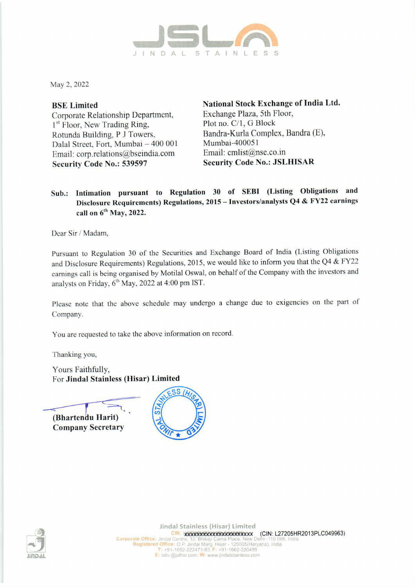

May 2, 2022

Corporate Relationship Department, Exchange Plaza, Sth Floor, 1<sup>st</sup> Floor, New Trading Ring, Plot no. C/1, G Block Rotunda Building, P J Towers, Bandra-Kurla Complex, Bandra (E),<br>Dalal Street, Eort Mumbai – 400,001 Mumbai-400051 Dalal Street, Fort, Mumbai - 400 001 Email: corp.relations@bseindia.com Email: cmlist@nse.co.in Security Code No.: 539597 Security Code No.: JSLHISAR

BSE Limited National Stock Exchange of India Ltd.

## Sub.: Intimation pursuant to Regulation 30 of SEBI (Listing Obligations and Disclosure Requirements) Regulations, 2015 — Investors/analysts Q4 & FY22 earnings call on 6" May, 2022.

Dear Sir / Madam,

Pursuant to Regulation 30 of the Securities and Exchange Board of India (Listing Obligations and Disclosure Requirements) Regulations, 2015, we would like to inform you that the Q4 & FY22 earnings call is being organised by Motilal Oswal, on behalf of the Company with the investors and analysts on Friday, 6" May, 2022 at 4:00 pm IST.

Please note that the above schedule may undergo a change due to exigencies on the part of Company.

You are requested to take the above information on record.

Thanking you,

Yours Faithfully, For Jindal Stainless (Hisar) Limited